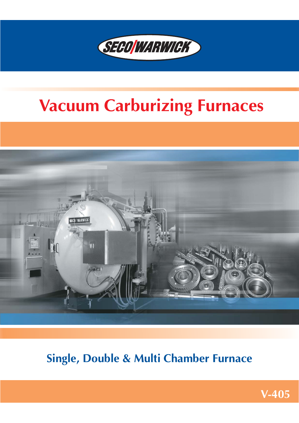

# **Vacuum Carburizing Furnaces**



# **Single, Double & Multi Chamber Furnace**

**V−405**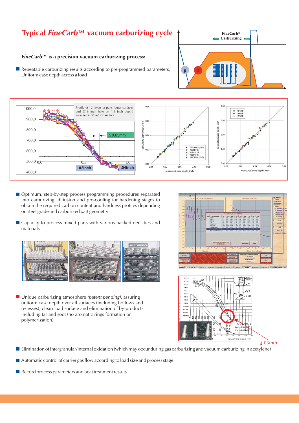### **Typical** *FineCarb***™ vacuum carburizing cycle**

#### **FineCarb™** is a precision vacuum carburizing process:

 $\mathbb{R}^n$ Repeatable carburizing results according to pre−programmed parameters, Uniform case depth across a load





- Optimum, step-by-step process programming procedures separated into carburizing, diffusion and pre−cooling for hardening stages to obtain the required carbon content and hardness profiles depending on steel grade and carburized part geometry
- Capacity to process mixed parts with various packed densities and materials



■ Unique carburizing atmosphere *(patent pending)*, assuring uniform case depth over all surfaces (including hollows and recesses), clean load surface and elimination of by−products including tar and soot (no aromatic rings formation or polymerization)





- Elimination of intergranular/internal oxidation (which may occur during gas carburizing and vacuum carburizing in acetylene)
- Automatic control of carrier gas flow according to load size and process stage
- Record process parameters and heat treatment results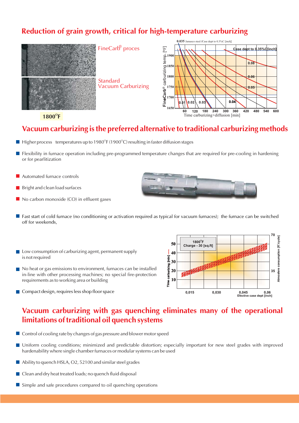### **Reduction of grain growth, critical for high−temperature carburizing**



 $1800^\circ$ F

### **Vacuum carburizing is the preferred alternative to traditional carburizing methods**

- $\blacksquare$  Higher process temperatures up to 1980<sup>o</sup>F (1900<sup>o</sup>C) resulting in faster diffusion stages
- Flexibility in furnace operation including pre−programmed temperature changes that are required for pre−cooling in hardening or for pearlitization
- **Automated furnace controls**
- $\blacksquare$  Bright and clean load surfaces
- $\blacksquare$  No carbon monoxide (CO) in effluent gases
- **Fast start of cold furnace (no conditioning or activation required as typical for vacuum furnaces); the furnace can be switched** off for weekends,
- $\blacksquare$  Low consumption of carburizing agent, permanent supply is not required
- No heat or gas emissions to environment, furnaces can be installed in−line with other processing machines; no special fire−protection requirements as to working area or building
- Compact design, requires less shop floor space



### **Vacuum carburizing with gas quenching eliminates many of the operational limitations of traditional oil quench systems**

- $\blacksquare$  Control of cooling rate by changes of gas pressure and blower motor speed
- **Uniform cooling conditions; minimized and predictable distortion; especially important for new steel grades with improved** hardenability where single chamber furnaces or modular systems can be used
- Ability to quench HSLA, O2, 52100 and similar steel grades
- Clean and dry heat treated loads; no quench fluid disposal
- Simple and safe procedures compared to oil quenching operations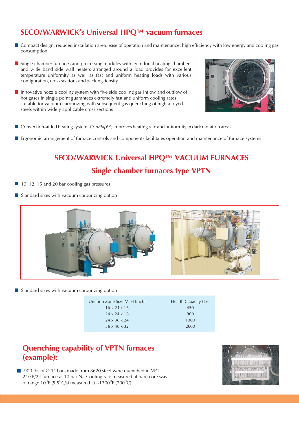## **SECO/WARWICK's Universal HPQ™ vacuum furnaces**

- Compact design, reduced installation area, ease of operation and maintenance, high efficiency with low energy and cooling gas  $\sim$ consumption
- $\blacksquare$  Single chamber furnaces and processing modules with cylindrical heating chambers and wide band side wall heaters arranged around a load provides for excellent temperature uniformity as well as fast and uniform heating loads with various configuration, cross sections and packing density
- Innovative nozzle cooling system with five side cooling gas inflow and outflow of hot gases in single point guarantees extremely fast and uniform cooling rates suitable for vacuum carburizing with subsequent gas quenching of high alloyed steels within widely applicable cross sections



- Convection-aided heating system*, ConFlap*™, improves heating rate and uniformity in dark radiation areas
- **E** Ergonomic arrangement of furnace controls and components facilitates operation and maintenance of furnace systems

# **SECO/WARWICK Universal HPQ™ VACUUM FURNACES Single chamber furnaces type VPTN**

- $10$ , 12, 15 and 20 bar cooling gas pressures
- $\blacksquare$  Standard sizes with vacuum carburizing option



 $\blacksquare$  Standard sizes with vacuum carburizing option

| Uniform Zone Size MLH (inch) | Hearth Capacity (lbs) |
|------------------------------|-----------------------|
| $16 \times 24 \times 16$     | 450                   |
| $24 \times 24 \times 16$     | 900                   |
| $24 \times 36 \times 24$     | 1300                  |
| $36 \times 48 \times 32$     | 2600                  |

### **Quenching capability of VPTN furnaces (example):**

-900 lbs of Ø 1" bars made from 8620 steel were quenched in VPT  $24/36/24$  furnace at 10 bar N<sub>2</sub>. Cooling rate measured at bare core was of range 10<sup>°</sup>F (5.5<sup>°</sup>C/s) measured at ~1300<sup>°</sup>F (700<sup>°</sup>C)

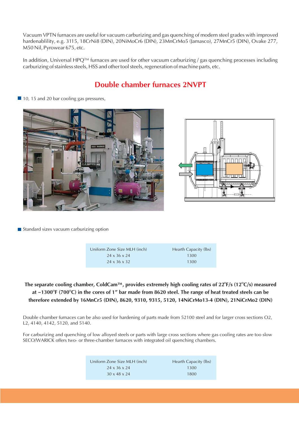Vacuum VPTN furnaces are useful for vacuum carburizing and gas quenching of modern steel grades with improved hardenablility, e.g. 3115, 18CrNi8 (DIN), 20NiMoCr6 (DIN), 23MnCrMo5 (Jamasco), 27MnCr5 (DIN), Ovake 277, M50 Nil, Pyrowear 675, etc.

In addition, Universal HPQ™ furnaces are used for other vacuum carburizing / gas quenching processes including carburizing of stainless steels, HSS and other tool steels, regeneration of machine parts, etc.

### **Double chamber furnaces 2NVPT**

 $\blacksquare$  10, 15 and 20 bar cooling gas pressures,





Standard sizes vacuum carburizing option

| Uniform Zone Size MLH (inch) | Hearth Capacity (lbs) |
|------------------------------|-----------------------|
| $24 \times 36 \times 24$     | 1300                  |
| $24 \times 36 \times 32$     | 1300                  |

### The separate cooling chamber, ColdCam™, provides extremely high cooling rates of 22<sup>o</sup>F/s (12<sup>o</sup>C/s) measured **at ~1300°F (700°C) in the cores of 1" bar made from 8620 steel. The range of heat treated steels can be therefore extended by 16MnCr5 (DIN), 8620, 9310, 9315, 5120, 14NiCrMo13−4 (DIN), 21NiCrMo2 (DIN)**

Double chamber furnaces can be also used for hardening of parts made from 52100 steel and for larger cross sections O2, L2, 4140, 4142, 5120, and 5140.

For carburizing and quenching of low alloyed steels or parts with large cross sections where gas cooling rates are too slow SECO/WARICK offers two− or three−chamber furnaces with integrated oil quenching chambers.

| Uniform Zone Size MLH (inch) | Hearth Capacity (lbs) |
|------------------------------|-----------------------|
| $24 \times 36 \times 24$     | 1300                  |
| $30 \times 48 \times 24$     | 1800                  |